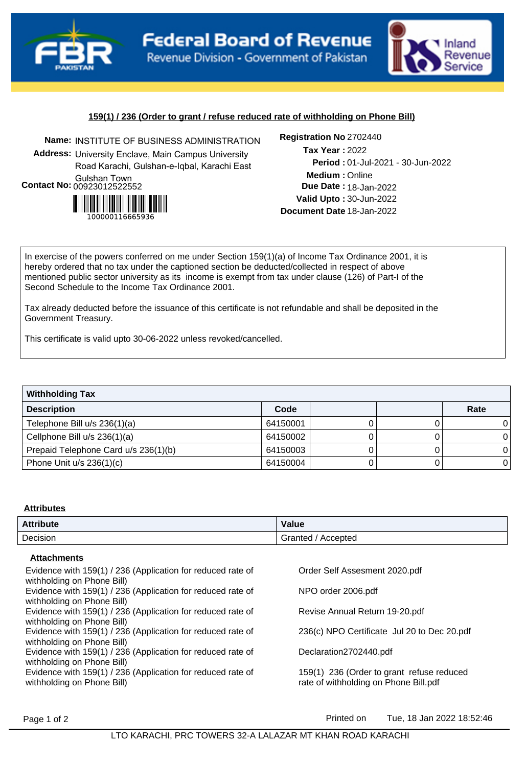



# **159(1) / 236 (Order to grant / refuse reduced rate of withholding on Phone Bill)**

**Name:** INSTITUTE OF BUSINESS ADMINISTRATION **Registration No Address:** University Enclave, Main Campus University Road Karachi, Gulshan-e-Iqbal, Karachi East Gulshan Town **Contact No:**00923012522552



### Registration No 2702440

**Medium :** Online 01-Jul-2021 - 30-Jun-2022 **Period : Due Date : 18-Jan-2022 Valid Upto :** 30-Jun-2022 **Document Date** 18-Jan-2022 2022 **Tax Year :**

In exercise of the powers conferred on me under Section 159(1)(a) of Income Tax Ordinance 2001, it is hereby ordered that no tax under the captioned section be deducted/collected in respect of above mentioned public sector university as its income is exempt from tax under clause (126) of Part-I of the Second Schedule to the Income Tax Ordinance 2001.

Tax already deducted before the issuance of this certificate is not refundable and shall be deposited in the Government Treasury.

This certificate is valid upto 30-06-2022 unless revoked/cancelled.

| <b>Withholding Tax</b>               |          |  |  |      |  |  |
|--------------------------------------|----------|--|--|------|--|--|
| <b>Description</b>                   | Code     |  |  | Rate |  |  |
| Telephone Bill u/s 236(1)(a)         | 64150001 |  |  |      |  |  |
| Cellphone Bill u/s 236(1)(a)         | 64150002 |  |  |      |  |  |
| Prepaid Telephone Card u/s 236(1)(b) | 64150003 |  |  |      |  |  |
| Phone Unit $u/s$ 236(1)(c)           | 64150004 |  |  |      |  |  |

#### **Attributes**

| <b>Attribute</b> | Value                 |
|------------------|-----------------------|
| Decision         | Granted<br>' Accepted |

# **Attachments**

| Evidence with 159(1) / 236 (Application for reduced rate of<br>withholding on Phone Bill) | Order Self Assesment 2020.pdf               |
|-------------------------------------------------------------------------------------------|---------------------------------------------|
| Evidence with 159(1) / 236 (Application for reduced rate of<br>withholding on Phone Bill) | NPO order 2006.pdf                          |
| Evidence with 159(1) / 236 (Application for reduced rate of                               | Revise Annual Return 19-20.pdf              |
| withholding on Phone Bill)<br>Evidence with 159(1) / 236 (Application for reduced rate of | 236(c) NPO Certificate Jul 20 to Dec 20.pdf |
| withholding on Phone Bill)<br>Evidence with 159(1) / 236 (Application for reduced rate of | Declaration2702440.pdf                      |
| withholding on Phone Bill)<br>Evidence with 159(1) / 236 (Application for reduced rate of | 159(1) 236 (Order to grant refuse reduced   |
| withholding on Phone Bill)                                                                | rate of withholding on Phone Bill.pdf       |
|                                                                                           |                                             |

Page 1 of 2 **Printed on** Tue, 18 Jan 2022 18:52:46